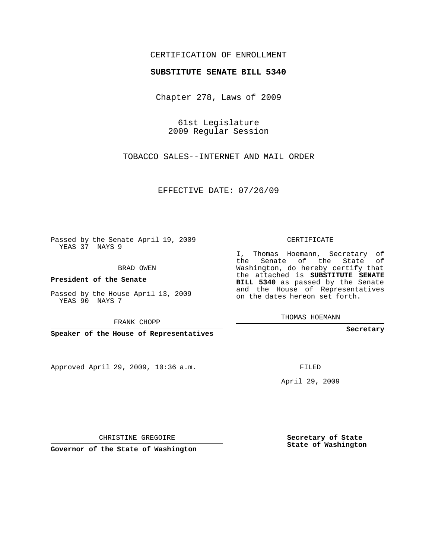## CERTIFICATION OF ENROLLMENT

## **SUBSTITUTE SENATE BILL 5340**

Chapter 278, Laws of 2009

61st Legislature 2009 Regular Session

TOBACCO SALES--INTERNET AND MAIL ORDER

EFFECTIVE DATE: 07/26/09

Passed by the Senate April 19, 2009 YEAS 37 NAYS 9

BRAD OWEN

**President of the Senate**

Passed by the House April 13, 2009 YEAS 90 NAYS 7

FRANK CHOPP

**Speaker of the House of Representatives**

Approved April 29, 2009, 10:36 a.m.

CERTIFICATE

I, Thomas Hoemann, Secretary of the Senate of the State of Washington, do hereby certify that the attached is **SUBSTITUTE SENATE BILL 5340** as passed by the Senate and the House of Representatives on the dates hereon set forth.

THOMAS HOEMANN

**Secretary**

FILED

April 29, 2009

**Secretary of State State of Washington**

CHRISTINE GREGOIRE

**Governor of the State of Washington**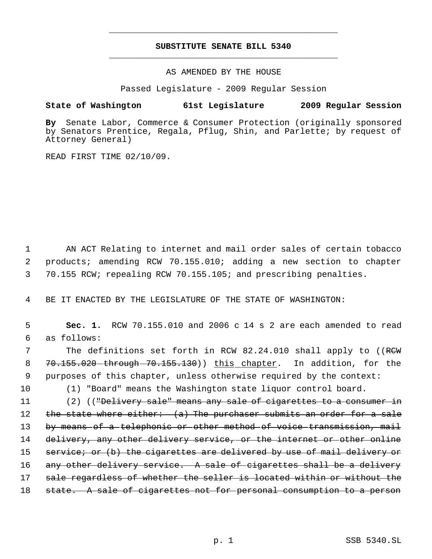## **SUBSTITUTE SENATE BILL 5340** \_\_\_\_\_\_\_\_\_\_\_\_\_\_\_\_\_\_\_\_\_\_\_\_\_\_\_\_\_\_\_\_\_\_\_\_\_\_\_\_\_\_\_\_\_

\_\_\_\_\_\_\_\_\_\_\_\_\_\_\_\_\_\_\_\_\_\_\_\_\_\_\_\_\_\_\_\_\_\_\_\_\_\_\_\_\_\_\_\_\_

AS AMENDED BY THE HOUSE

Passed Legislature - 2009 Regular Session

## **State of Washington 61st Legislature 2009 Regular Session**

**By** Senate Labor, Commerce & Consumer Protection (originally sponsored by Senators Prentice, Regala, Pflug, Shin, and Parlette; by request of Attorney General)

READ FIRST TIME 02/10/09.

 1 AN ACT Relating to internet and mail order sales of certain tobacco 2 products; amending RCW 70.155.010; adding a new section to chapter 3 70.155 RCW; repealing RCW 70.155.105; and prescribing penalties.

4 BE IT ENACTED BY THE LEGISLATURE OF THE STATE OF WASHINGTON:

 5 **Sec. 1.** RCW 70.155.010 and 2006 c 14 s 2 are each amended to read 6 as follows:

7 The definitions set forth in RCW 82.24.010 shall apply to ((RCW 8 70.155.020 through 70.155.130) this chapter. In addition, for the 9 purposes of this chapter, unless otherwise required by the context:

10 (1) "Board" means the Washington state liquor control board.

11 (2) (("Delivery sale" means any sale of cigarettes to a consumer in 12 the state where either: (a) The purchaser submits an order for a sale 13 by means of a telephonic or other method of voice transmission, mail 14 delivery, any other delivery service, or the internet or other online 15 service; or (b) the cigarettes are delivered by use of mail delivery or 16 any other delivery service. A sale of cigarettes shall be a delivery 17 sale regardless of whether the seller is located within or without the 18 state. A sale of cigarettes not for personal consumption to a person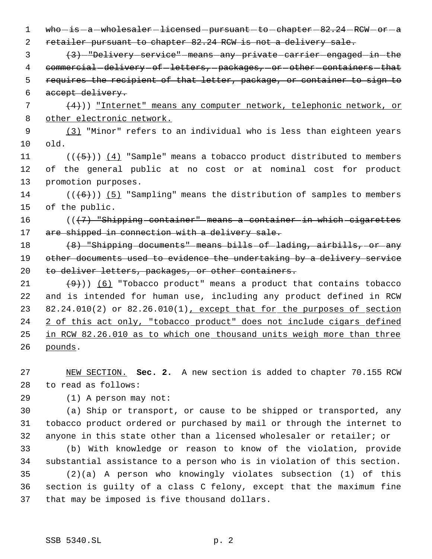1 who is a wholesaler licensed pursuant to chapter 82.24 RCW or a 2 retailer pursuant to chapter 82.24 RCW is not a delivery sale.

 3 (3) "Delivery service" means any private carrier engaged in the 4 commercial delivery of letters, packages, or other containers that 5 requires the recipient of that letter, package, or container to sign to 6 accept delivery.

 $\{4\})$  "Internet" means any computer network, telephonic network, or 8 other electronic network.

 9 (3) "Minor" refers to an individual who is less than eighteen years 10 old.

11  $((\overline{5})) (4)$  "Sample" means a tobacco product distributed to members 12 of the general public at no cost or at nominal cost for product 13 promotion purposes.

14  $((\langle 6 \rangle) )$  (5) "Sampling" means the distribution of samples to members 15 of the public.

16  $((\langle 7 \rangle$  "Shipping container" means a container in which cigarettes 17 are shipped in connection with a delivery sale.

18 (8) "Shipping documents" means bills of lading, airbills, or any 19 other documents used to evidence the undertaking by a delivery service 20 to deliver letters, packages, or other containers.

21  $(9)$ )) (6) "Tobacco product" means a product that contains tobacco 22 and is intended for human use, including any product defined in RCW 23 82.24.010(2) or 82.26.010(1), except that for the purposes of section 24 2 of this act only, "tobacco product" does not include cigars defined 25 in RCW 82.26.010 as to which one thousand units weigh more than three 26 pounds.

27 NEW SECTION. **Sec. 2.** A new section is added to chapter 70.155 RCW 28 to read as follows:

29 (1) A person may not:

30 (a) Ship or transport, or cause to be shipped or transported, any 31 tobacco product ordered or purchased by mail or through the internet to 32 anyone in this state other than a licensed wholesaler or retailer; or

 (b) With knowledge or reason to know of the violation, provide substantial assistance to a person who is in violation of this section. (2)(a) A person who knowingly violates subsection (1) of this section is guilty of a class C felony, except that the maximum fine that may be imposed is five thousand dollars.